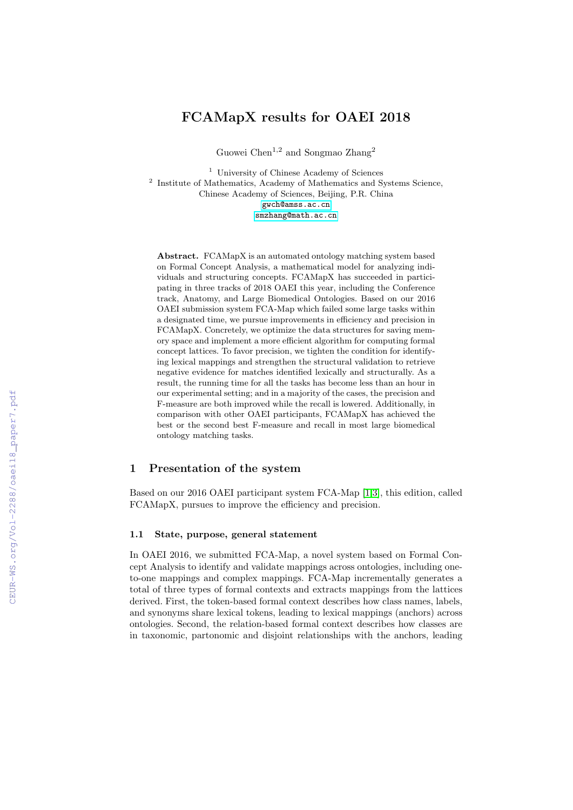# FCAMapX results for OAEI 2018

Guowei Chen $^{1,2}$  and Songma<br/>o $\rm{Zhang^2}$ 

<sup>1</sup> University of Chinese Academy of Sciences <sup>2</sup> Institute of Mathematics, Academy of Mathematics and Systems Science, Chinese Academy of Sciences, Beijing, P.R. China [gwch@amss.ac.cn](mailto:gwch@amss.ac.cn) [smzhang@math.ac.cn](mailto:smzhang@math.ac.cn)

Abstract. FCAMapX is an automated ontology matching system based on Formal Concept Analysis, a mathematical model for analyzing individuals and structuring concepts. FCAMapX has succeeded in participating in three tracks of 2018 OAEI this year, including the Conference track, Anatomy, and Large Biomedical Ontologies. Based on our 2016 OAEI submission system FCA-Map which failed some large tasks within a designated time, we pursue improvements in efficiency and precision in FCAMapX. Concretely, we optimize the data structures for saving memory space and implement a more efficient algorithm for computing formal concept lattices. To favor precision, we tighten the condition for identifying lexical mappings and strengthen the structural validation to retrieve negative evidence for matches identified lexically and structurally. As a result, the running time for all the tasks has become less than an hour in our experimental setting; and in a majority of the cases, the precision and F-measure are both improved while the recall is lowered. Additionally, in comparison with other OAEI participants, FCAMapX has achieved the best or the second best F-measure and recall in most large biomedical ontology matching tasks.

# 1 Presentation of the system

Based on our 2016 OAEI participant system FCA-Map [\[1](#page--1-0)[,3\]](#page--1-1), this edition, called FCAMapX, pursues to improve the efficiency and precision.

### 1.1 State, purpose, general statement

In OAEI 2016, we submitted FCA-Map, a novel system based on Formal Concept Analysis to identify and validate mappings across ontologies, including oneto-one mappings and complex mappings. FCA-Map incrementally generates a total of three types of formal contexts and extracts mappings from the lattices derived. First, the token-based formal context describes how class names, labels, and synonyms share lexical tokens, leading to lexical mappings (anchors) across ontologies. Second, the relation-based formal context describes how classes are in taxonomic, partonomic and disjoint relationships with the anchors, leading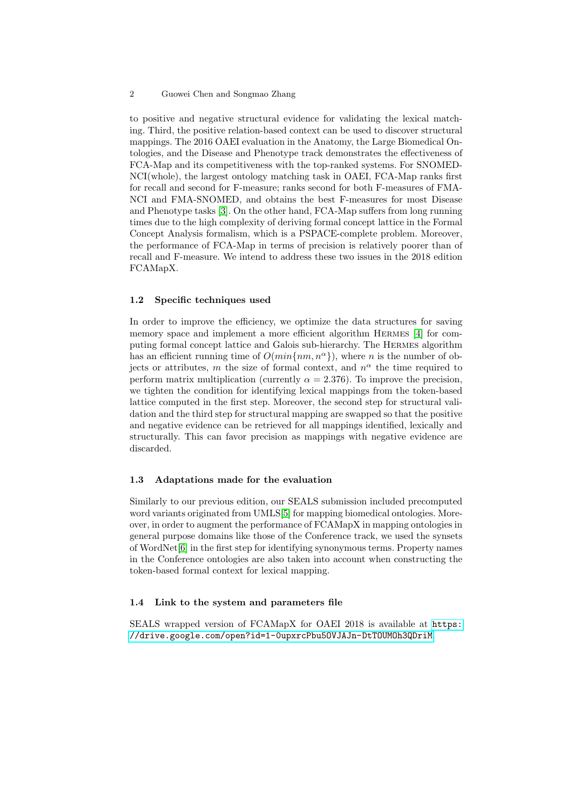#### 2 Guowei Chen and Songmao Zhang

to positive and negative structural evidence for validating the lexical matching. Third, the positive relation-based context can be used to discover structural mappings. The 2016 OAEI evaluation in the Anatomy, the Large Biomedical Ontologies, and the Disease and Phenotype track demonstrates the effectiveness of FCA-Map and its competitiveness with the top-ranked systems. For SNOMED-NCI(whole), the largest ontology matching task in OAEI, FCA-Map ranks first for recall and second for F-measure; ranks second for both F-measures of FMA-NCI and FMA-SNOMED, and obtains the best F-measures for most Disease and Phenotype tasks [\[3\]](#page-5-0). On the other hand, FCA-Map suffers from long running times due to the high complexity of deriving formal concept lattice in the Formal Concept Analysis formalism, which is a PSPACE-complete problem. Moreover, the performance of FCA-Map in terms of precision is relatively poorer than of recall and F-measure. We intend to address these two issues in the 2018 edition FCAMapX.

#### 1.2 Specific techniques used

In order to improve the efficiency, we optimize the data structures for saving memory space and implement a more efficient algorithm Hermes [\[4\]](#page-5-1) for computing formal concept lattice and Galois sub-hierarchy. The Hermes algorithm has an efficient running time of  $O(min\{nm, n^{\alpha}\})$ , where *n* is the number of objects or attributes, m the size of formal context, and  $n^{\alpha}$  the time required to perform matrix multiplication (currently  $\alpha = 2.376$ ). To improve the precision, we tighten the condition for identifying lexical mappings from the token-based lattice computed in the first step. Moreover, the second step for structural validation and the third step for structural mapping are swapped so that the positive and negative evidence can be retrieved for all mappings identified, lexically and structurally. This can favor precision as mappings with negative evidence are discarded.

#### 1.3 Adaptations made for the evaluation

Similarly to our previous edition, our SEALS submission included precomputed word variants originated from UMLS[\[5\]](#page-5-2) for mapping biomedical ontologies. Moreover, in order to augment the performance of FCAMapX in mapping ontologies in general purpose domains like those of the Conference track, we used the synsets of WordNet[\[6\]](#page-5-3) in the first step for identifying synonymous terms. Property names in the Conference ontologies are also taken into account when constructing the token-based formal context for lexical mapping.

# 1.4 Link to the system and parameters file

SEALS wrapped version of FCAMapX for OAEI 2018 is available at [https:](https://drive.google.com/open?id=1-0upxrcPbu5OVJAJn-DtTOUMOh3QDriM) [//drive.google.com/open?id=1-0upxrcPbu5OVJAJn-DtTOUMOh3QDriM](https://drive.google.com/open?id=1-0upxrcPbu5OVJAJn-DtTOUMOh3QDriM).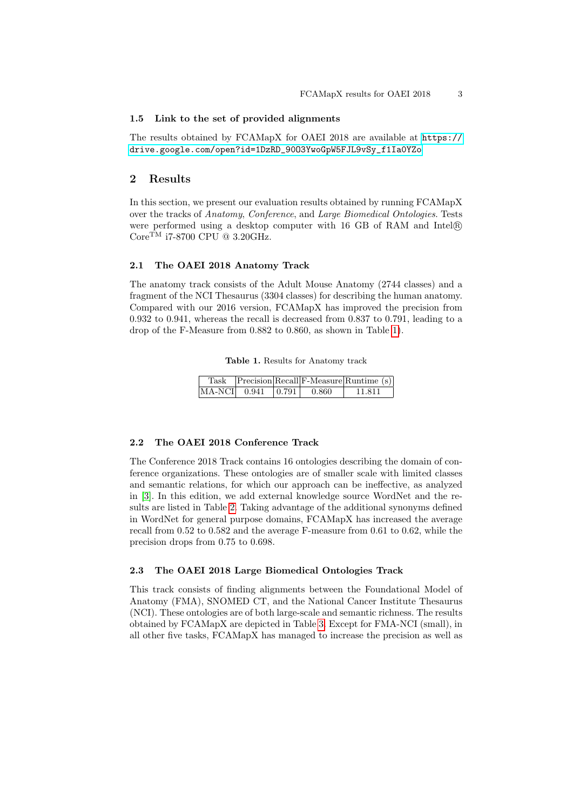#### 1.5 Link to the set of provided alignments

The results obtained by FCAMapX for OAEI 2018 are available at [https://](https://drive.google.com/open?id=1DzRD_90O3YwoGpW5FJL9vSy_f1Ia0YZo) [drive.google.com/open?id=1DzRD\\_90O3YwoGpW5FJL9vSy\\_f1Ia0YZo](https://drive.google.com/open?id=1DzRD_90O3YwoGpW5FJL9vSy_f1Ia0YZo)

### 2 Results

In this section, we present our evaluation results obtained by running FCAMapX over the tracks of Anatomy, Conference, and Large Biomedical Ontologies. Tests were performed using a desktop computer with 16 GB of RAM and Intel <sup>R</sup>  $\mathrm{Core}^{\mathrm{TM}}$ i<br/>7-8700 $\mathrm{CPU}$ @ 3.20<br>GHz.

#### 2.1 The OAEI 2018 Anatomy Track

The anatomy track consists of the Adult Mouse Anatomy (2744 classes) and a fragment of the NCI Thesaurus (3304 classes) for describing the human anatomy. Compared with our 2016 version, FCAMapX has improved the precision from 0.932 to 0.941, whereas the recall is decreased from 0.837 to 0.791, leading to a drop of the F-Measure from 0.882 to 0.860, as shown in Table [1\)](#page-2-0).

<span id="page-2-0"></span>

|  |  |  |  | Table 1. Results for Anatomy track |  |
|--|--|--|--|------------------------------------|--|
|--|--|--|--|------------------------------------|--|

|                          |       | Task Precision Recall F-Measure Runtime (s) |
|--------------------------|-------|---------------------------------------------|
| $MA-NCI$ 0.941 $ 0.791 $ | 0.860 | 11.811                                      |

#### 2.2 The OAEI 2018 Conference Track

The Conference 2018 Track contains 16 ontologies describing the domain of conference organizations. These ontologies are of smaller scale with limited classes and semantic relations, for which our approach can be ineffective, as analyzed in [\[3\]](#page-5-0). In this edition, we add external knowledge source WordNet and the results are listed in Table [2.](#page-3-0) Taking advantage of the additional synonyms defined in WordNet for general purpose domains, FCAMapX has increased the average recall from 0.52 to 0.582 and the average F-measure from 0.61 to 0.62, while the precision drops from 0.75 to 0.698.

#### 2.3 The OAEI 2018 Large Biomedical Ontologies Track

This track consists of finding alignments between the Foundational Model of Anatomy (FMA), SNOMED CT, and the National Cancer Institute Thesaurus (NCI). These ontologies are of both large-scale and semantic richness. The results obtained by FCAMapX are depicted in Table [3.](#page-3-1) Except for FMA-NCI (small), in all other five tasks, FCAMapX has managed to increase the precision as well as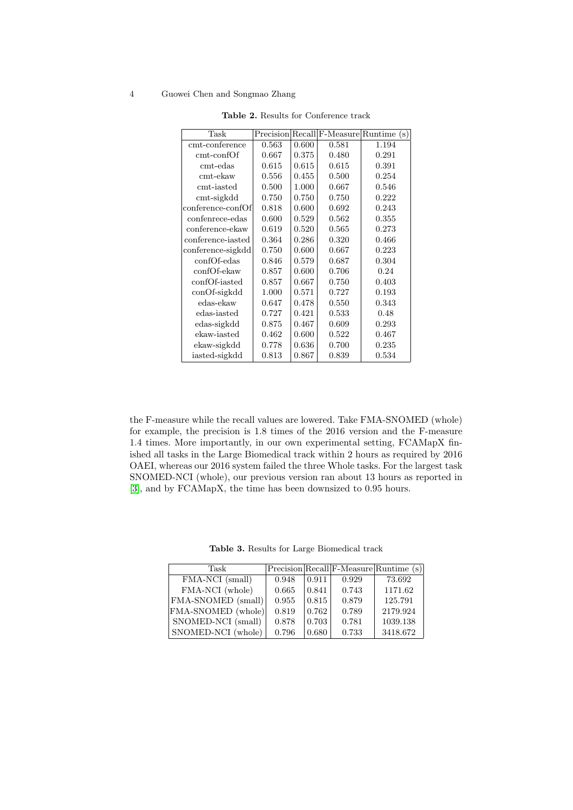#### 4 Guowei Chen and Songmao Zhang

| Task                  |       |       |       | $Precision[Recall]$ F-Measure Runtime (s) |
|-----------------------|-------|-------|-------|-------------------------------------------|
| cmt-conference        | 0.563 | 0.600 | 0.581 | 1.194                                     |
| $\text{cmt-confOf}$   | 0.667 | 0.375 | 0.480 | 0.291                                     |
| $\rm cm$ t-edas       | 0.615 | 0.615 | 0.615 | 0.391                                     |
| $\text{cmt-ekaw}$     | 0.556 | 0.455 | 0.500 | 0.254                                     |
| cmt-iasted            | 0.500 | 1.000 | 0.667 | 0.546                                     |
| $\text{cmt-sigkdd}$   | 0.750 | 0.750 | 0.750 | 0.222                                     |
| conference-confOf     | 0.818 | 0.600 | 0.692 | 0.243                                     |
| confenrece-edas       | 0.600 | 0.529 | 0.562 | 0.355                                     |
| conference-ekaw       | 0.619 | 0.520 | 0.565 | 0.273                                     |
| conference-iasted     | 0.364 | 0.286 | 0.320 | 0.466                                     |
| conference-sigkdd     | 0.750 | 0.600 | 0.667 | 0.223                                     |
| confOf-edas           | 0.846 | 0.579 | 0.687 | 0.304                                     |
| confOf-ekaw           | 0.857 | 0.600 | 0.706 | 0.24                                      |
| confOf-iasted         | 0.857 | 0.667 | 0.750 | 0.403                                     |
| $\text{conOf-sigkdd}$ | 1.000 | 0.571 | 0.727 | 0.193                                     |
| edas-ekaw             | 0.647 | 0.478 | 0.550 | 0.343                                     |
| edas-iasted           | 0.727 | 0.421 | 0.533 | 0.48                                      |
| edas-sigkdd           | 0.875 | 0.467 | 0.609 | 0.293                                     |
| ekaw-iasted           | 0.462 | 0.600 | 0.522 | 0.467                                     |
| ekaw-sigkdd           | 0.778 | 0.636 | 0.700 | 0.235                                     |
| iasted-sigkdd         | 0.813 | 0.867 | 0.839 | 0.534                                     |

<span id="page-3-0"></span>Table 2. Results for Conference track

the F-measure while the recall values are lowered. Take FMA-SNOMED (whole) for example, the precision is 1.8 times of the 2016 version and the F-measure 1.4 times. More importantly, in our own experimental setting, FCAMapX finished all tasks in the Large Biomedical track within 2 hours as required by 2016 OAEI, whereas our 2016 system failed the three Whole tasks. For the largest task SNOMED-NCI (whole), our previous version ran about 13 hours as reported in [\[3\]](#page-5-0), and by FCAMapX, the time has been downsized to 0.95 hours.

<span id="page-3-1"></span>

|  |  |  |  | Table 3. Results for Large Biomedical track |  |
|--|--|--|--|---------------------------------------------|--|
|--|--|--|--|---------------------------------------------|--|

| Task               |       |       |       | Precision Recall F-Measure Runtime (s) |
|--------------------|-------|-------|-------|----------------------------------------|
| FMA-NCI (small)    | 0.948 | 0.911 | 0.929 | 73.692                                 |
| FMA-NCI (whole)    | 0.665 | 0.841 | 0.743 | 1171.62                                |
| FMA-SNOMED (small) | 0.955 | 0.815 | 0.879 | 125.791                                |
| FMA-SNOMED (whole) | 0.819 | 0.762 | 0.789 | 2179.924                               |
| SNOMED-NCI (small) | 0.878 | 0.703 | 0.781 | 1039.138                               |
| SNOMED-NCI (whole) | 0.796 | 0.680 | 0.733 | 3418.672                               |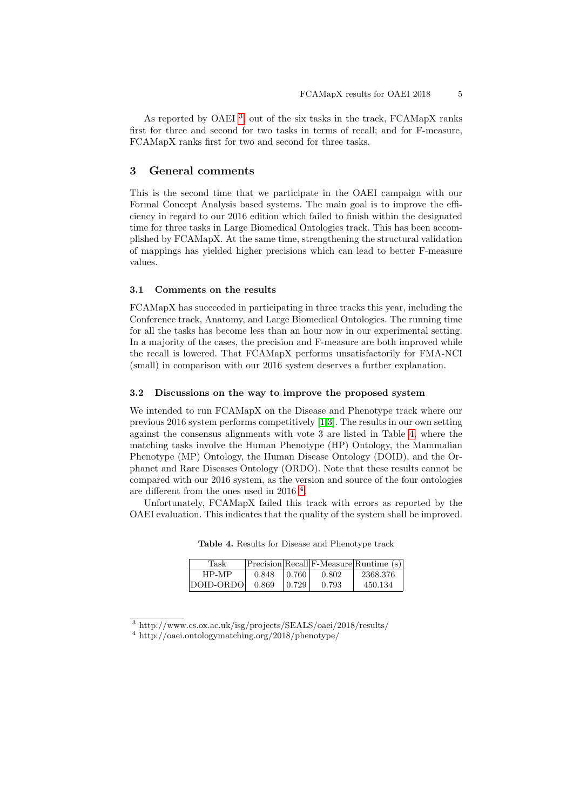As reported by OAEI<sup>[3](#page-4-0)</sup>, out of the six tasks in the track, FCAMapX ranks first for three and second for two tasks in terms of recall; and for F-measure, FCAMapX ranks first for two and second for three tasks.

### 3 General comments

This is the second time that we participate in the OAEI campaign with our Formal Concept Analysis based systems. The main goal is to improve the efficiency in regard to our 2016 edition which failed to finish within the designated time for three tasks in Large Biomedical Ontologies track. This has been accomplished by FCAMapX. At the same time, strengthening the structural validation of mappings has yielded higher precisions which can lead to better F-measure values.

## 3.1 Comments on the results

FCAMapX has succeeded in participating in three tracks this year, including the Conference track, Anatomy, and Large Biomedical Ontologies. The running time for all the tasks has become less than an hour now in our experimental setting. In a majority of the cases, the precision and F-measure are both improved while the recall is lowered. That FCAMapX performs unsatisfactorily for FMA-NCI (small) in comparison with our 2016 system deserves a further explanation.

#### 3.2 Discussions on the way to improve the proposed system

We intended to run FCAMapX on the Disease and Phenotype track where our previous 2016 system performs competitively [\[1,](#page-5-4)[3\]](#page-5-0). The results in our own setting against the consensus alignments with vote 3 are listed in Table [4,](#page-4-1) where the matching tasks involve the Human Phenotype (HP) Ontology, the Mammalian Phenotype (MP) Ontology, the Human Disease Ontology (DOID), and the Orphanet and Rare Diseases Ontology (ORDO). Note that these results cannot be compared with our 2016 system, as the version and source of the four ontologies are different from the ones used in 2016<sup>[4](#page-4-2)</sup>.

Unfortunately, FCAMapX failed this track with errors as reported by the OAEI evaluation. This indicates that the quality of the system shall be improved.

| Task      |       |         |       | Precision Recall F-Measure Runtime (s) |
|-----------|-------|---------|-------|----------------------------------------|
| $HP-MP$   | 0.848 | l 0.760 | 0.802 | 2368.376                               |
| DOID-ORDO | 0.869 | 0.729   | 0.793 | 450.134                                |

<span id="page-4-1"></span>Table 4. Results for Disease and Phenotype track

<span id="page-4-0"></span><sup>3</sup> http://www.cs.ox.ac.uk/isg/projects/SEALS/oaei/2018/results/

<span id="page-4-2"></span><sup>4</sup> http://oaei.ontologymatching.org/2018/phenotype/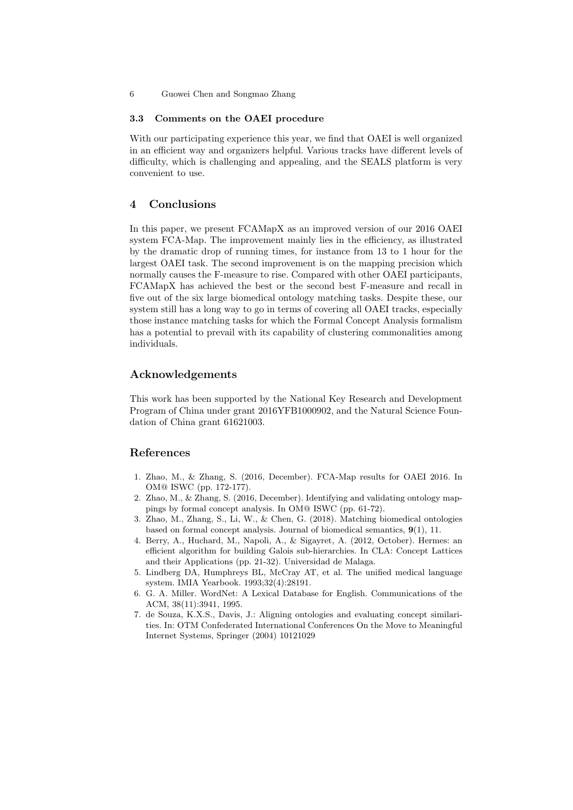6 Guowei Chen and Songmao Zhang

#### 3.3 Comments on the OAEI procedure

With our participating experience this year, we find that OAEI is well organized in an efficient way and organizers helpful. Various tracks have different levels of difficulty, which is challenging and appealing, and the SEALS platform is very convenient to use.

## 4 Conclusions

In this paper, we present FCAMapX as an improved version of our 2016 OAEI system FCA-Map. The improvement mainly lies in the efficiency, as illustrated by the dramatic drop of running times, for instance from 13 to 1 hour for the largest OAEI task. The second improvement is on the mapping precision which normally causes the F-measure to rise. Compared with other OAEI participants, FCAMapX has achieved the best or the second best F-measure and recall in five out of the six large biomedical ontology matching tasks. Despite these, our system still has a long way to go in terms of covering all OAEI tracks, especially those instance matching tasks for which the Formal Concept Analysis formalism has a potential to prevail with its capability of clustering commonalities among individuals.

# Acknowledgements

This work has been supported by the National Key Research and Development Program of China under grant 2016YFB1000902, and the Natural Science Foundation of China grant 61621003.

# References

- <span id="page-5-4"></span>1. Zhao, M., & Zhang, S. (2016, December). FCA-Map results for OAEI 2016. In OM@ ISWC (pp. 172-177).
- 2. Zhao, M., & Zhang, S. (2016, December). Identifying and validating ontology mappings by formal concept analysis. In OM@ ISWC (pp. 61-72).
- <span id="page-5-0"></span>3. Zhao, M., Zhang, S., Li, W., & Chen, G. (2018). Matching biomedical ontologies based on formal concept analysis. Journal of biomedical semantics, 9(1), 11.
- <span id="page-5-1"></span>4. Berry, A., Huchard, M., Napoli, A., & Sigayret, A. (2012, October). Hermes: an efficient algorithm for building Galois sub-hierarchies. In CLA: Concept Lattices and their Applications (pp. 21-32). Universidad de Malaga.
- <span id="page-5-2"></span>5. Lindberg DA, Humphreys BL, McCray AT, et al. The unified medical language system. IMIA Yearbook. 1993;32(4):28191.
- <span id="page-5-3"></span>6. G. A. Miller. WordNet: A Lexical Database for English. Communications of the ACM, 38(11):3941, 1995.
- 7. de Souza, K.X.S., Davis, J.: Aligning ontologies and evaluating concept similarities. In: OTM Confederated International Conferences On the Move to Meaningful Internet Systems, Springer (2004) 10121029